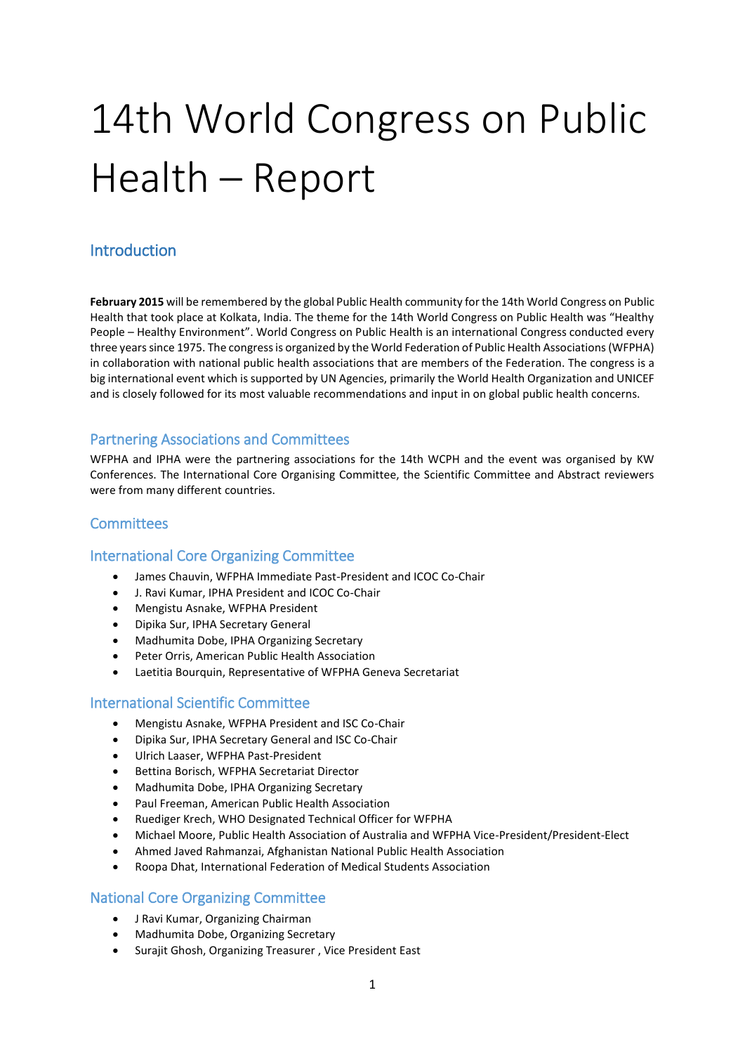# 14th World Congress on Public Health – Report

# Introduction

**February 2015** will be remembered by the global Public Health community for the 14th World Congress on Public Health that took place at Kolkata, India. The theme for the 14th World Congress on Public Health was "Healthy People – Healthy Environment". World Congress on Public Health is an international Congress conducted every three years since 1975. The congress is organized by the World Federation of Public Health Associations (WFPHA) in collaboration with national public health associations that are members of the Federation. The congress is a big international event which is supported by UN Agencies, primarily the World Health Organization and UNICEF and is closely followed for its most valuable recommendations and input in on global public health concerns.

## Partnering Associations and Committees

WFPHA and IPHA were the partnering associations for the 14th WCPH and the event was organised by KW Conferences. The International Core Organising Committee, the Scientific Committee and Abstract reviewers were from many different countries.

## **Committees**

#### International Core Organizing Committee

- James Chauvin, WFPHA Immediate Past-President and ICOC Co-Chair
- J. Ravi Kumar, IPHA President and ICOC Co-Chair
- Mengistu Asnake, WFPHA President
- Dipika Sur, IPHA Secretary General
- Madhumita Dobe, IPHA Organizing Secretary
- Peter Orris, American Public Health Association
- Laetitia Bourquin, Representative of WFPHA Geneva Secretariat

#### International Scientific Committee

- Mengistu Asnake, WFPHA President and ISC Co-Chair
- Dipika Sur, IPHA Secretary General and ISC Co-Chair
- Ulrich Laaser, WFPHA Past-President
- Bettina Borisch, WFPHA Secretariat Director
- Madhumita Dobe, IPHA Organizing Secretary
- Paul Freeman, American Public Health Association
- Ruediger Krech, WHO Designated Technical Officer for WFPHA
- Michael Moore, Public Health Association of Australia and WFPHA Vice-President/President-Elect
- Ahmed Javed Rahmanzai, Afghanistan National Public Health Association
- Roopa Dhat, International Federation of Medical Students Association

#### National Core Organizing Committee

- J Ravi Kumar, Organizing Chairman
- Madhumita Dobe, Organizing Secretary
- Surajit Ghosh, Organizing Treasurer , Vice President East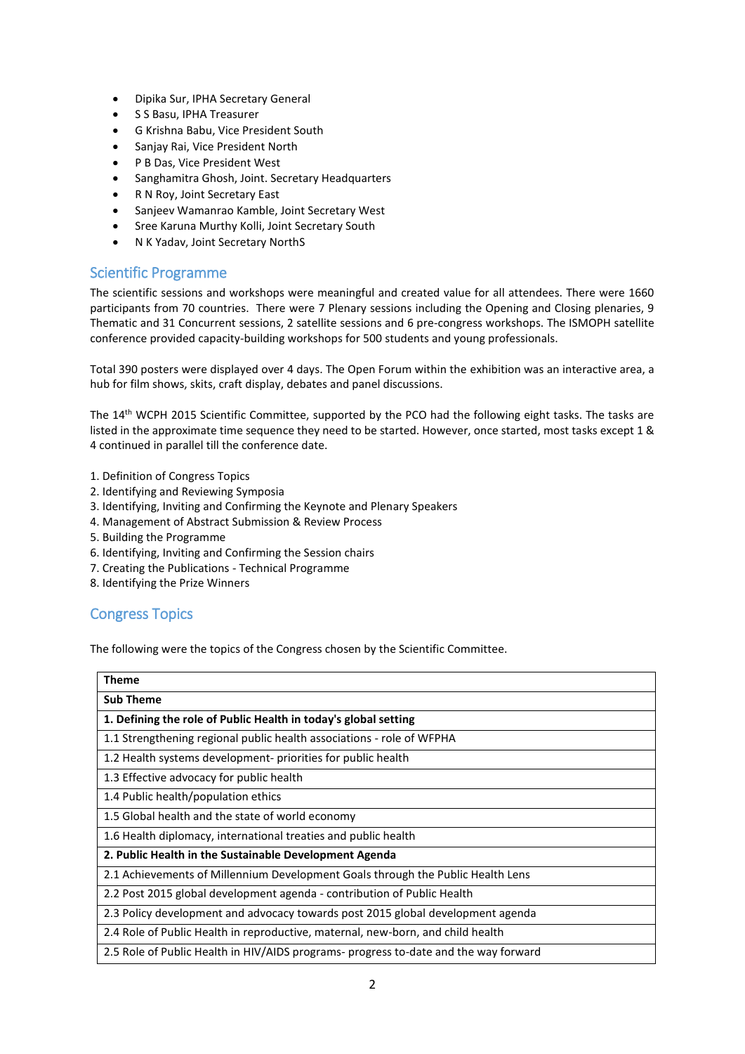- Dipika Sur, IPHA Secretary General
- S S Basu, IPHA Treasurer
- G Krishna Babu, Vice President South
- Sanjay Raj, Vice President North
- P B Das, Vice President West
- Sanghamitra Ghosh, Joint. Secretary Headquarters
- R N Roy, Joint Secretary East
- Sanjeev Wamanrao Kamble, Joint Secretary West
- Sree Karuna Murthy Kolli, Joint Secretary South
- N K Yadav, Joint Secretary NorthS

## Scientific Programme

The scientific sessions and workshops were meaningful and created value for all attendees. There were 1660 participants from 70 countries. There were 7 Plenary sessions including the Opening and Closing plenaries, 9 Thematic and 31 Concurrent sessions, 2 satellite sessions and 6 pre-congress workshops. The ISMOPH satellite conference provided capacity-building workshops for 500 students and young professionals.

Total 390 posters were displayed over 4 days. The Open Forum within the exhibition was an interactive area, a hub for film shows, skits, craft display, debates and panel discussions.

The 14th WCPH 2015 Scientific Committee, supported by the PCO had the following eight tasks. The tasks are listed in the approximate time sequence they need to be started. However, once started, most tasks except 1 & 4 continued in parallel till the conference date.

- 1. Definition of Congress Topics
- 2. Identifying and Reviewing Symposia
- 3. Identifying, Inviting and Confirming the Keynote and Plenary Speakers
- 4. Management of Abstract Submission & Review Process
- 5. Building the Programme
- 6. Identifying, Inviting and Confirming the Session chairs
- 7. Creating the Publications Technical Programme
- 8. Identifying the Prize Winners

## Congress Topics

The following were the topics of the Congress chosen by the Scientific Committee.

| Theme                                                                                |
|--------------------------------------------------------------------------------------|
| <b>Sub Theme</b>                                                                     |
| 1. Defining the role of Public Health in today's global setting                      |
| 1.1 Strengthening regional public health associations - role of WFPHA                |
| 1.2 Health systems development- priorities for public health                         |
| 1.3 Effective advocacy for public health                                             |
| 1.4 Public health/population ethics                                                  |
| 1.5 Global health and the state of world economy                                     |
| 1.6 Health diplomacy, international treaties and public health                       |
| 2. Public Health in the Sustainable Development Agenda                               |
| 2.1 Achievements of Millennium Development Goals through the Public Health Lens      |
| 2.2 Post 2015 global development agenda - contribution of Public Health              |
| 2.3 Policy development and advocacy towards post 2015 global development agenda      |
| 2.4 Role of Public Health in reproductive, maternal, new-born, and child health      |
| 2.5 Role of Public Health in HIV/AIDS programs- progress to-date and the way forward |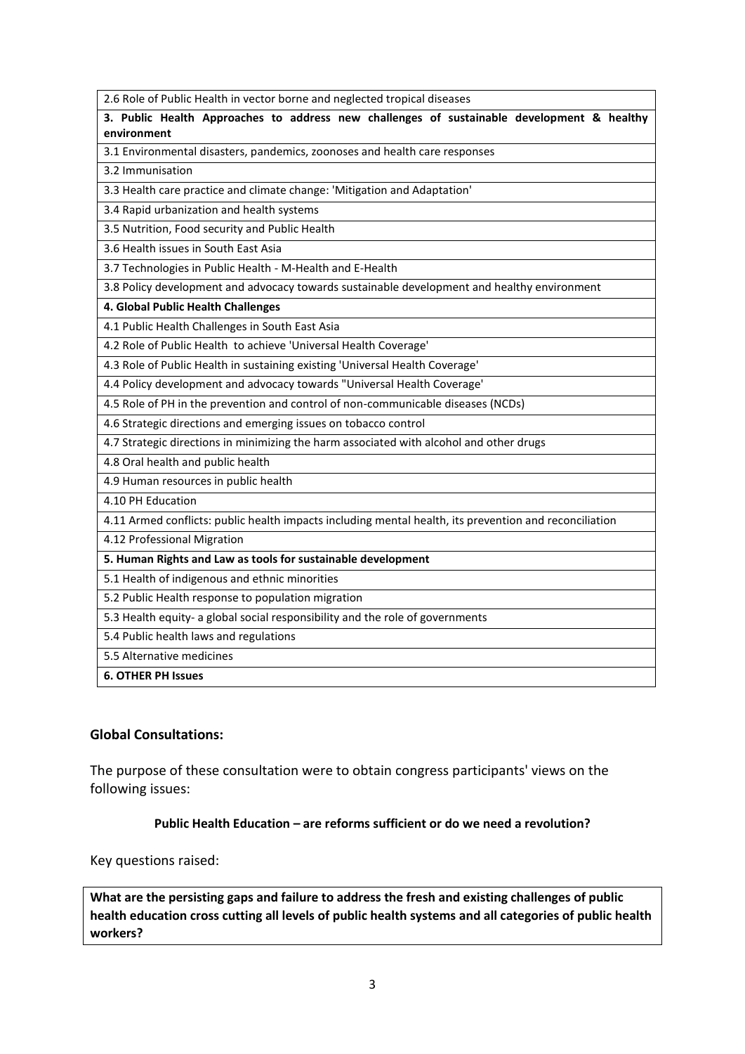**3. Public Health Approaches to address new challenges of sustainable development & healthy environment** 3.1 Environmental disasters, pandemics, zoonoses and health care responses 3.2 Immunisation 3.3 Health care practice and climate change: 'Mitigation and Adaptation' 3.4 Rapid urbanization and health systems 3.5 Nutrition, Food security and Public Health 3.6 Health issues in South East Asia 3.7 Technologies in Public Health - M-Health and E-Health 3.8 Policy development and advocacy towards sustainable development and healthy environment **4. Global Public Health Challenges** 4.1 Public Health Challenges in South East Asia 4.2 Role of Public Health to achieve 'Universal Health Coverage' 4.3 Role of Public Health in sustaining existing 'Universal Health Coverage' 4.4 Policy development and advocacy towards "Universal Health Coverage' 4.5 Role of PH in the prevention and control of non-communicable diseases (NCDs) 4.6 Strategic directions and emerging issues on tobacco control 4.7 Strategic directions in minimizing the harm associated with alcohol and other drugs 4.8 Oral health and public health 4.9 Human resources in public health 4.10 PH Education 4.11 Armed conflicts: public health impacts including mental health, its prevention and reconciliation

4.12 Professional Migration

**5. Human Rights and Law as tools for sustainable development**

5.1 Health of indigenous and ethnic minorities

5.2 Public Health response to population migration

5.3 Health equity- a global social responsibility and the role of governments

2.6 Role of Public Health in vector borne and neglected tropical diseases

5.4 Public health laws and regulations

5.5 Alternative medicines

**6. OTHER PH Issues**

#### **Global Consultations:**

The purpose of these consultation were to obtain congress participants' views on the following issues:

#### **Public Health Education – are reforms sufficient or do we need a revolution?**

Key questions raised:

**What are the persisting gaps and failure to address the fresh and existing challenges of public health education cross cutting all levels of public health systems and all categories of public health workers?**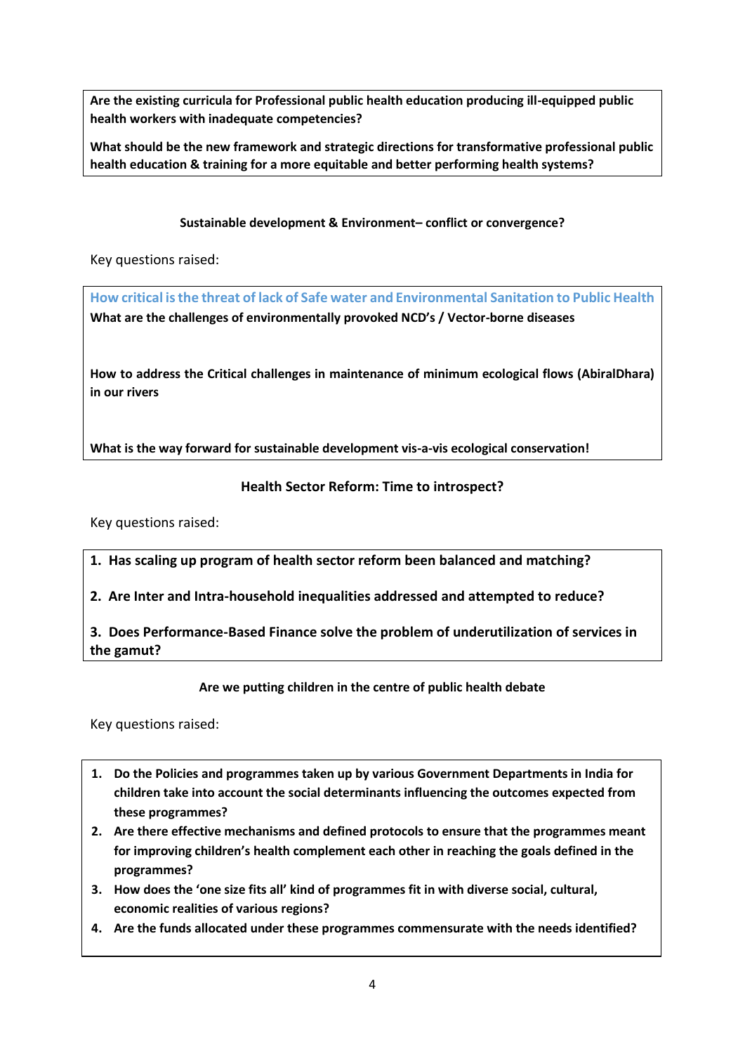**Are the existing curricula for Professional public health education producing ill-equipped public health workers with inadequate competencies?**

**What should be the new framework and strategic directions for transformative professional public health education & training for a more equitable and better performing health systems?**

**Sustainable development & Environment– conflict or convergence?**

Key questions raised:

**How critical is the threat of lack of Safe water and Environmental Sanitation to Public Health What are the challenges of environmentally provoked NCD's / Vector-borne diseases**

**How to address the Critical challenges in maintenance of minimum ecological flows (AbiralDhara) in our rivers**

**What is the way forward for sustainable development vis-a-vis ecological conservation!**

## **Health Sector Reform: Time to introspect?**

Key questions raised:

**1. Has scaling up program of health sector reform been balanced and matching?** 

**2. Are Inter and Intra-household inequalities addressed and attempted to reduce?** 

**3. Does Performance-Based Finance solve the problem of underutilization of services in the gamut?**

**Are we putting children in the centre of public health debate**

Key questions raised:

- **1. Do the Policies and programmes taken up by various Government Departments in India for children take into account the social determinants influencing the outcomes expected from these programmes?**
- **2. Are there effective mechanisms and defined protocols to ensure that the programmes meant for improving children's health complement each other in reaching the goals defined in the programmes?**
- **3. How does the 'one size fits all' kind of programmes fit in with diverse social, cultural, economic realities of various regions?**
- **4. Are the funds allocated under these programmes commensurate with the needs identified?**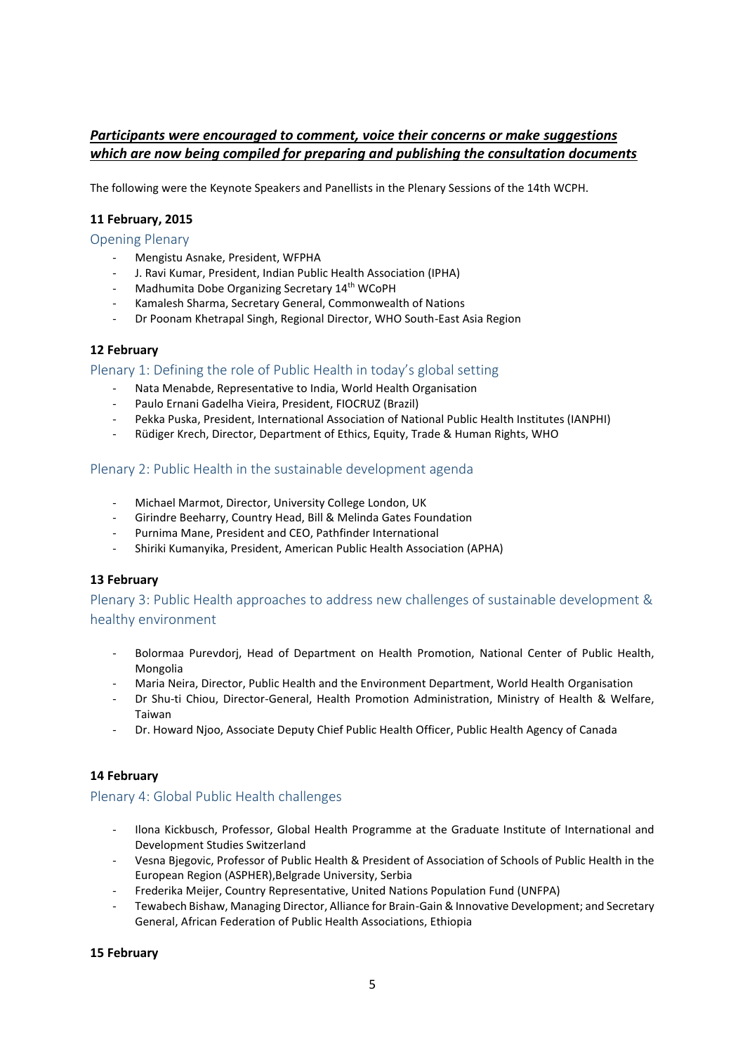## *Participants were encouraged to comment, voice their concerns or make suggestions which are now being compiled for preparing and publishing the consultation documents*

The following were the Keynote Speakers and Panellists in the Plenary Sessions of the 14th WCPH.

#### **11 February, 2015**

Opening Plenary

- Mengistu Asnake, President, WFPHA
- J. Ravi Kumar, President, Indian Public Health Association (IPHA)
- Madhumita Dobe Organizing Secretary 14<sup>th</sup> WCoPH
- Kamalesh Sharma, Secretary General, Commonwealth of Nations
- Dr Poonam Khetrapal Singh, Regional Director, WHO South-East Asia Region

#### **12 February**

Plenary 1: Defining the role of Public Health in today's global setting

- Nata Menabde, Representative to India, World Health Organisation
- Paulo Ernani Gadelha Vieira, President, FIOCRUZ (Brazil)
- Pekka Puska, President, International Association of National Public Health Institutes (IANPHI)
- Rüdiger Krech, Director, Department of Ethics, Equity, Trade & Human Rights, WHO

#### Plenary 2: Public Health in the sustainable development agenda

- Michael Marmot, Director, University College London, UK
- Girindre Beeharry, Country Head, Bill & Melinda Gates Foundation
- Purnima Mane, President and CEO, Pathfinder International
- Shiriki Kumanyika, President, American Public Health Association (APHA)

#### **13 February**

Plenary 3: Public Health approaches to address new challenges of sustainable development & healthy environment

- Bolormaa Purevdorj, Head of Department on Health Promotion, National Center of Public Health, Mongolia
- Maria Neira, Director, Public Health and the Environment Department, World Health Organisation
- Dr Shu-ti Chiou, Director-General, Health Promotion Administration, Ministry of Health & Welfare, Taiwan
- Dr. Howard Njoo, Associate Deputy Chief Public Health Officer, Public Health Agency of Canada

#### **14 February**

#### Plenary 4: Global Public Health challenges

- Ilona Kickbusch, Professor, Global Health Programme at the Graduate Institute of International and Development Studies Switzerland
- Vesna Bjegovic, Professor of Public Health & President of Association of Schools of Public Health in the European Region (ASPHER),Belgrade University, Serbia
- Frederika Meijer, Country Representative, United Nations Population Fund (UNFPA)
- Tewabech Bishaw, Managing Director, Alliance for Brain-Gain & Innovative Development; and Secretary General, African Federation of Public Health Associations, Ethiopia

#### **15 February**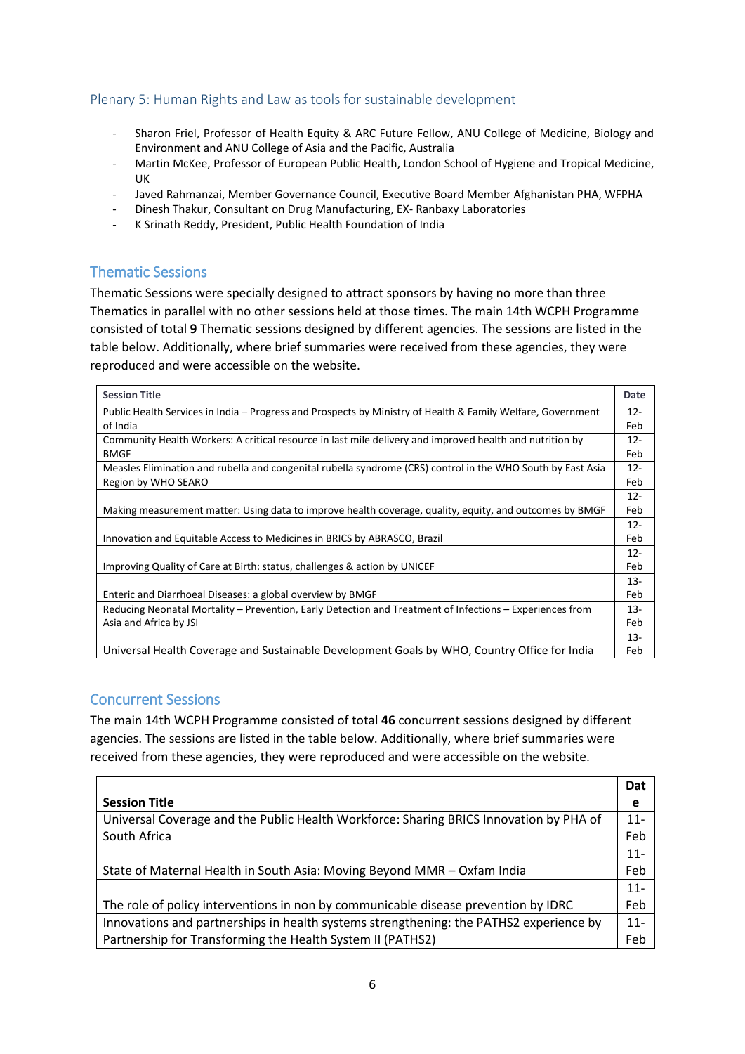## Plenary 5: Human Rights and Law as tools for sustainable development

- Sharon Friel, Professor of Health Equity & ARC Future Fellow, ANU College of Medicine, Biology and Environment and ANU College of Asia and the Pacific, Australia
- Martin McKee, Professor of European Public Health, London School of Hygiene and Tropical Medicine, UK
- Javed Rahmanzai, Member Governance Council, Executive Board Member Afghanistan PHA, WFPHA
- Dinesh Thakur, Consultant on Drug Manufacturing, EX- Ranbaxy Laboratories
- K Srinath Reddy, President, Public Health Foundation of India

## Thematic Sessions

Thematic Sessions were specially designed to attract sponsors by having no more than three Thematics in parallel with no other sessions held at those times. The main 14th WCPH Programme consisted of total **9** Thematic sessions designed by different agencies. The sessions are listed in the table below. Additionally, where brief summaries were received from these agencies, they were reproduced and were accessible on the website.

| <b>Session Title</b>                                                                                        | Date   |
|-------------------------------------------------------------------------------------------------------------|--------|
| Public Health Services in India - Progress and Prospects by Ministry of Health & Family Welfare, Government | $12 -$ |
| of India                                                                                                    | Feb    |
| Community Health Workers: A critical resource in last mile delivery and improved health and nutrition by    | $12 -$ |
| <b>BMGF</b>                                                                                                 | Feb    |
| Measles Elimination and rubella and congenital rubella syndrome (CRS) control in the WHO South by East Asia | $12 -$ |
| Region by WHO SEARO                                                                                         | Feb    |
|                                                                                                             | $12 -$ |
| Making measurement matter: Using data to improve health coverage, quality, equity, and outcomes by BMGF     | Feb    |
|                                                                                                             | $12 -$ |
| Innovation and Equitable Access to Medicines in BRICS by ABRASCO, Brazil                                    | Feb    |
|                                                                                                             | $12 -$ |
| Improving Quality of Care at Birth: status, challenges & action by UNICEF                                   | Feb    |
|                                                                                                             | $13-$  |
| Enteric and Diarrhoeal Diseases: a global overview by BMGF                                                  | Feb    |
| Reducing Neonatal Mortality – Prevention, Early Detection and Treatment of Infections – Experiences from    | $13 -$ |
| Asia and Africa by JSI                                                                                      | Feb    |
|                                                                                                             | $13-$  |
| Universal Health Coverage and Sustainable Development Goals by WHO, Country Office for India                | Feb    |

#### Concurrent Sessions

The main 14th WCPH Programme consisted of total **46** concurrent sessions designed by different agencies. The sessions are listed in the table below. Additionally, where brief summaries were received from these agencies, they were reproduced and were accessible on the website.

|                                                                                        | Dat    |
|----------------------------------------------------------------------------------------|--------|
| <b>Session Title</b>                                                                   | е      |
| Universal Coverage and the Public Health Workforce: Sharing BRICS Innovation by PHA of | $11 -$ |
| South Africa                                                                           | Feb    |
|                                                                                        | $11 -$ |
| State of Maternal Health in South Asia: Moving Beyond MMR - Oxfam India                | Feb    |
|                                                                                        | $11 -$ |
| The role of policy interventions in non by communicable disease prevention by IDRC     | Feb    |
| Innovations and partnerships in health systems strengthening: the PATHS2 experience by | $11 -$ |
| Partnership for Transforming the Health System II (PATHS2)                             | Feb    |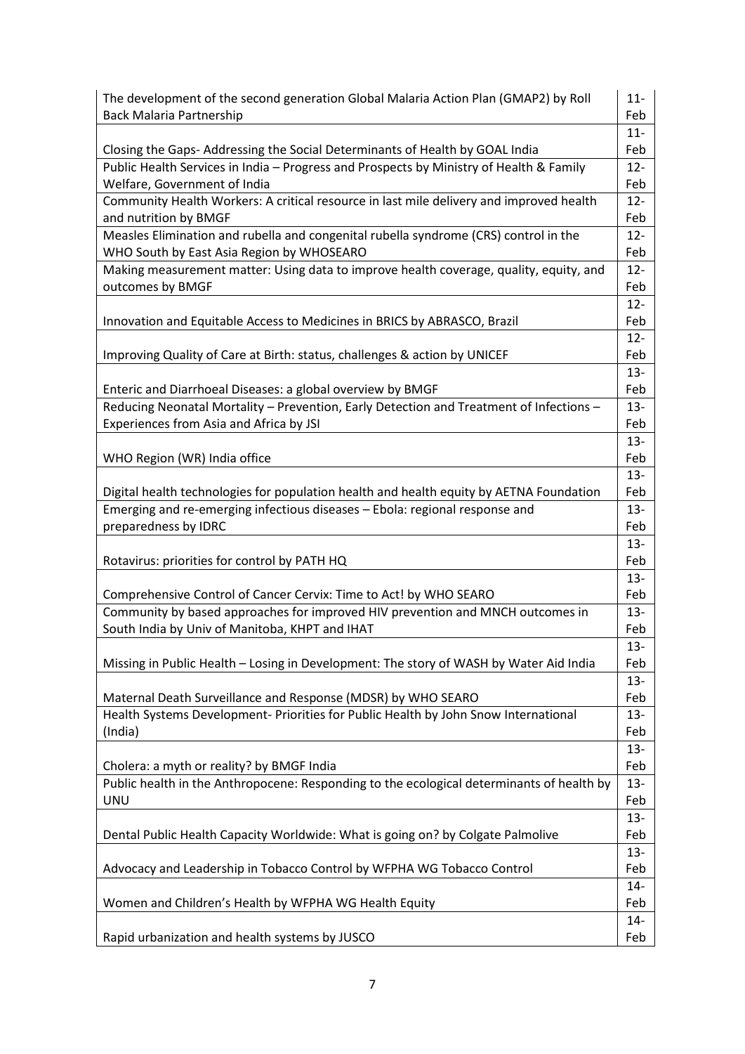| The development of the second generation Global Malaria Action Plan (GMAP2) by Roll<br><b>Back Malaria Partnership</b>                                                 |               |  |  |  |  |
|------------------------------------------------------------------------------------------------------------------------------------------------------------------------|---------------|--|--|--|--|
| Closing the Gaps-Addressing the Social Determinants of Health by GOAL India                                                                                            | $11 -$<br>Feb |  |  |  |  |
| Public Health Services in India - Progress and Prospects by Ministry of Health & Family<br>Welfare, Government of India                                                | $12 -$<br>Feb |  |  |  |  |
| Community Health Workers: A critical resource in last mile delivery and improved health<br>and nutrition by BMGF                                                       | $12 -$<br>Feb |  |  |  |  |
| Measles Elimination and rubella and congenital rubella syndrome (CRS) control in the<br>WHO South by East Asia Region by WHOSEARO                                      | $12 -$<br>Feb |  |  |  |  |
| Making measurement matter: Using data to improve health coverage, quality, equity, and<br>outcomes by BMGF                                                             | $12 -$<br>Feb |  |  |  |  |
| Innovation and Equitable Access to Medicines in BRICS by ABRASCO, Brazil                                                                                               | $12 -$<br>Feb |  |  |  |  |
| Improving Quality of Care at Birth: status, challenges & action by UNICEF                                                                                              | $12 -$<br>Feb |  |  |  |  |
| Enteric and Diarrhoeal Diseases: a global overview by BMGF                                                                                                             | $13 -$<br>Feb |  |  |  |  |
| Reducing Neonatal Mortality - Prevention, Early Detection and Treatment of Infections -<br>Experiences from Asia and Africa by JSI                                     | $13 -$<br>Feb |  |  |  |  |
| WHO Region (WR) India office                                                                                                                                           | $13 -$<br>Feb |  |  |  |  |
|                                                                                                                                                                        | $13 -$        |  |  |  |  |
| Digital health technologies for population health and health equity by AETNA Foundation<br>Emerging and re-emerging infectious diseases - Ebola: regional response and | Feb<br>$13 -$ |  |  |  |  |
| preparedness by IDRC                                                                                                                                                   | Feb           |  |  |  |  |
| Rotavirus: priorities for control by PATH HQ                                                                                                                           | $13 -$<br>Feb |  |  |  |  |
| Comprehensive Control of Cancer Cervix: Time to Act! by WHO SEARO                                                                                                      | $13 -$<br>Feb |  |  |  |  |
| Community by based approaches for improved HIV prevention and MNCH outcomes in                                                                                         | $13 -$        |  |  |  |  |
| South India by Univ of Manitoba, KHPT and IHAT                                                                                                                         | Feb<br>$13 -$ |  |  |  |  |
| Missing in Public Health - Losing in Development: The story of WASH by Water Aid India                                                                                 | Feb           |  |  |  |  |
| Maternal Death Surveillance and Response (MDSR) by WHO SEARO                                                                                                           | $13 -$<br>Feb |  |  |  |  |
| Health Systems Development- Priorities for Public Health by John Snow International<br>(India)                                                                         | $13 -$<br>Feb |  |  |  |  |
| Cholera: a myth or reality? by BMGF India                                                                                                                              | $13 -$<br>Feb |  |  |  |  |
| Public health in the Anthropocene: Responding to the ecological determinants of health by<br><b>UNU</b>                                                                | $13 -$<br>Feb |  |  |  |  |
| Dental Public Health Capacity Worldwide: What is going on? by Colgate Palmolive                                                                                        | $13 -$<br>Feb |  |  |  |  |
| Advocacy and Leadership in Tobacco Control by WFPHA WG Tobacco Control                                                                                                 | $13 -$<br>Feb |  |  |  |  |
|                                                                                                                                                                        | $14-$         |  |  |  |  |
| Women and Children's Health by WFPHA WG Health Equity                                                                                                                  | Feb<br>$14 -$ |  |  |  |  |
| Rapid urbanization and health systems by JUSCO                                                                                                                         | Feb           |  |  |  |  |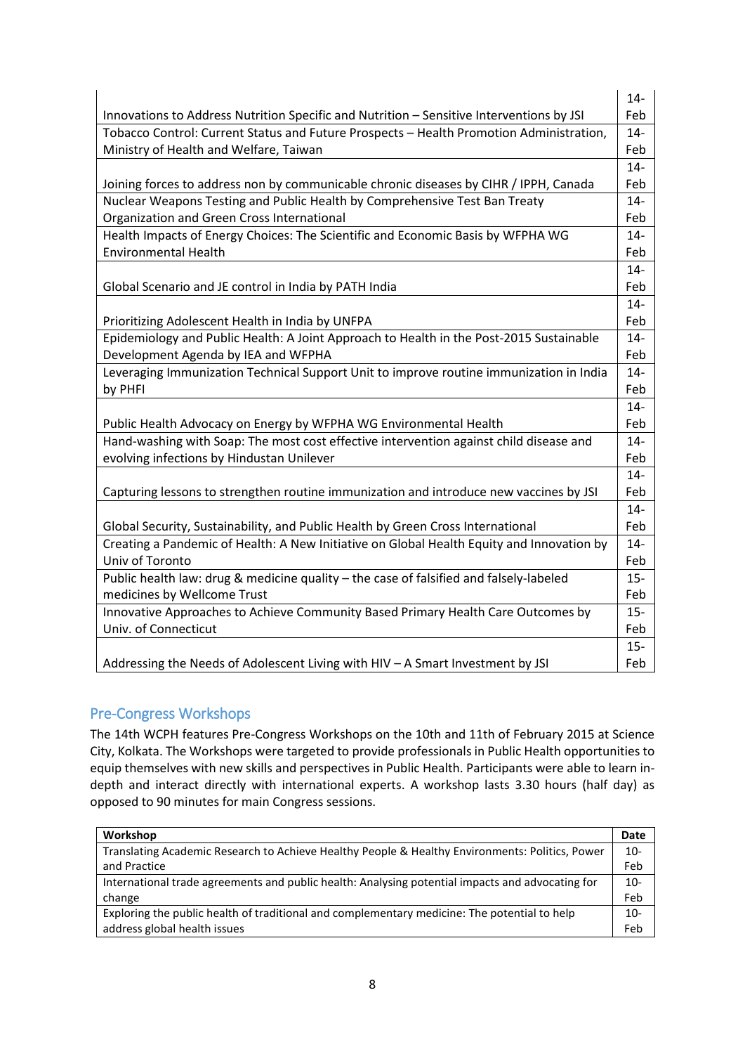| Feb<br>Innovations to Address Nutrition Specific and Nutrition - Sensitive Interventions by JSI<br>Tobacco Control: Current Status and Future Prospects - Health Promotion Administration,<br>$14 -$<br>Ministry of Health and Welfare, Taiwan<br>Feb<br>$14 -$<br>Joining forces to address non by communicable chronic diseases by CIHR / IPPH, Canada<br>Feb<br>Nuclear Weapons Testing and Public Health by Comprehensive Test Ban Treaty<br>$14-$<br>Organization and Green Cross International<br>Feb<br>Health Impacts of Energy Choices: The Scientific and Economic Basis by WFPHA WG<br>$14 -$<br><b>Environmental Health</b><br>Feb<br>$14-$<br>Feb<br>Global Scenario and JE control in India by PATH India<br>$14 -$<br>Feb<br>Prioritizing Adolescent Health in India by UNFPA<br>Epidemiology and Public Health: A Joint Approach to Health in the Post-2015 Sustainable<br>$14 -$<br>Development Agenda by IEA and WFPHA<br>Feb<br>Leveraging Immunization Technical Support Unit to improve routine immunization in India<br>$14-$<br>Feb<br>by PHFI<br>$14-$<br>Public Health Advocacy on Energy by WFPHA WG Environmental Health<br>Feb<br>Hand-washing with Soap: The most cost effective intervention against child disease and<br>$14 -$<br>evolving infections by Hindustan Unilever<br>Feb<br>$14 -$<br>Capturing lessons to strengthen routine immunization and introduce new vaccines by JSI<br>Feb<br>$14-$<br>Global Security, Sustainability, and Public Health by Green Cross International<br>Feb<br>Creating a Pandemic of Health: A New Initiative on Global Health Equity and Innovation by<br>$14 -$<br>Univ of Toronto<br>Feb<br>Public health law: drug & medicine quality - the case of falsified and falsely-labeled<br>$15-$<br>medicines by Wellcome Trust<br>Feb<br>Innovative Approaches to Achieve Community Based Primary Health Care Outcomes by<br>$15 -$<br>Univ. of Connecticut<br>Feb<br>$15 -$ |                                                                                | $14 -$ |
|---------------------------------------------------------------------------------------------------------------------------------------------------------------------------------------------------------------------------------------------------------------------------------------------------------------------------------------------------------------------------------------------------------------------------------------------------------------------------------------------------------------------------------------------------------------------------------------------------------------------------------------------------------------------------------------------------------------------------------------------------------------------------------------------------------------------------------------------------------------------------------------------------------------------------------------------------------------------------------------------------------------------------------------------------------------------------------------------------------------------------------------------------------------------------------------------------------------------------------------------------------------------------------------------------------------------------------------------------------------------------------------------------------------------------------------------------------------------------------------------------------------------------------------------------------------------------------------------------------------------------------------------------------------------------------------------------------------------------------------------------------------------------------------------------------------------------------------------------------------------------------------------------------------------------------------------------|--------------------------------------------------------------------------------|--------|
|                                                                                                                                                                                                                                                                                                                                                                                                                                                                                                                                                                                                                                                                                                                                                                                                                                                                                                                                                                                                                                                                                                                                                                                                                                                                                                                                                                                                                                                                                                                                                                                                                                                                                                                                                                                                                                                                                                                                                   |                                                                                |        |
|                                                                                                                                                                                                                                                                                                                                                                                                                                                                                                                                                                                                                                                                                                                                                                                                                                                                                                                                                                                                                                                                                                                                                                                                                                                                                                                                                                                                                                                                                                                                                                                                                                                                                                                                                                                                                                                                                                                                                   |                                                                                |        |
|                                                                                                                                                                                                                                                                                                                                                                                                                                                                                                                                                                                                                                                                                                                                                                                                                                                                                                                                                                                                                                                                                                                                                                                                                                                                                                                                                                                                                                                                                                                                                                                                                                                                                                                                                                                                                                                                                                                                                   |                                                                                |        |
|                                                                                                                                                                                                                                                                                                                                                                                                                                                                                                                                                                                                                                                                                                                                                                                                                                                                                                                                                                                                                                                                                                                                                                                                                                                                                                                                                                                                                                                                                                                                                                                                                                                                                                                                                                                                                                                                                                                                                   |                                                                                |        |
|                                                                                                                                                                                                                                                                                                                                                                                                                                                                                                                                                                                                                                                                                                                                                                                                                                                                                                                                                                                                                                                                                                                                                                                                                                                                                                                                                                                                                                                                                                                                                                                                                                                                                                                                                                                                                                                                                                                                                   |                                                                                |        |
|                                                                                                                                                                                                                                                                                                                                                                                                                                                                                                                                                                                                                                                                                                                                                                                                                                                                                                                                                                                                                                                                                                                                                                                                                                                                                                                                                                                                                                                                                                                                                                                                                                                                                                                                                                                                                                                                                                                                                   |                                                                                |        |
|                                                                                                                                                                                                                                                                                                                                                                                                                                                                                                                                                                                                                                                                                                                                                                                                                                                                                                                                                                                                                                                                                                                                                                                                                                                                                                                                                                                                                                                                                                                                                                                                                                                                                                                                                                                                                                                                                                                                                   |                                                                                |        |
|                                                                                                                                                                                                                                                                                                                                                                                                                                                                                                                                                                                                                                                                                                                                                                                                                                                                                                                                                                                                                                                                                                                                                                                                                                                                                                                                                                                                                                                                                                                                                                                                                                                                                                                                                                                                                                                                                                                                                   |                                                                                |        |
|                                                                                                                                                                                                                                                                                                                                                                                                                                                                                                                                                                                                                                                                                                                                                                                                                                                                                                                                                                                                                                                                                                                                                                                                                                                                                                                                                                                                                                                                                                                                                                                                                                                                                                                                                                                                                                                                                                                                                   |                                                                                |        |
|                                                                                                                                                                                                                                                                                                                                                                                                                                                                                                                                                                                                                                                                                                                                                                                                                                                                                                                                                                                                                                                                                                                                                                                                                                                                                                                                                                                                                                                                                                                                                                                                                                                                                                                                                                                                                                                                                                                                                   |                                                                                |        |
|                                                                                                                                                                                                                                                                                                                                                                                                                                                                                                                                                                                                                                                                                                                                                                                                                                                                                                                                                                                                                                                                                                                                                                                                                                                                                                                                                                                                                                                                                                                                                                                                                                                                                                                                                                                                                                                                                                                                                   |                                                                                |        |
|                                                                                                                                                                                                                                                                                                                                                                                                                                                                                                                                                                                                                                                                                                                                                                                                                                                                                                                                                                                                                                                                                                                                                                                                                                                                                                                                                                                                                                                                                                                                                                                                                                                                                                                                                                                                                                                                                                                                                   |                                                                                |        |
|                                                                                                                                                                                                                                                                                                                                                                                                                                                                                                                                                                                                                                                                                                                                                                                                                                                                                                                                                                                                                                                                                                                                                                                                                                                                                                                                                                                                                                                                                                                                                                                                                                                                                                                                                                                                                                                                                                                                                   |                                                                                |        |
|                                                                                                                                                                                                                                                                                                                                                                                                                                                                                                                                                                                                                                                                                                                                                                                                                                                                                                                                                                                                                                                                                                                                                                                                                                                                                                                                                                                                                                                                                                                                                                                                                                                                                                                                                                                                                                                                                                                                                   |                                                                                |        |
|                                                                                                                                                                                                                                                                                                                                                                                                                                                                                                                                                                                                                                                                                                                                                                                                                                                                                                                                                                                                                                                                                                                                                                                                                                                                                                                                                                                                                                                                                                                                                                                                                                                                                                                                                                                                                                                                                                                                                   |                                                                                |        |
|                                                                                                                                                                                                                                                                                                                                                                                                                                                                                                                                                                                                                                                                                                                                                                                                                                                                                                                                                                                                                                                                                                                                                                                                                                                                                                                                                                                                                                                                                                                                                                                                                                                                                                                                                                                                                                                                                                                                                   |                                                                                |        |
|                                                                                                                                                                                                                                                                                                                                                                                                                                                                                                                                                                                                                                                                                                                                                                                                                                                                                                                                                                                                                                                                                                                                                                                                                                                                                                                                                                                                                                                                                                                                                                                                                                                                                                                                                                                                                                                                                                                                                   |                                                                                |        |
|                                                                                                                                                                                                                                                                                                                                                                                                                                                                                                                                                                                                                                                                                                                                                                                                                                                                                                                                                                                                                                                                                                                                                                                                                                                                                                                                                                                                                                                                                                                                                                                                                                                                                                                                                                                                                                                                                                                                                   |                                                                                |        |
|                                                                                                                                                                                                                                                                                                                                                                                                                                                                                                                                                                                                                                                                                                                                                                                                                                                                                                                                                                                                                                                                                                                                                                                                                                                                                                                                                                                                                                                                                                                                                                                                                                                                                                                                                                                                                                                                                                                                                   |                                                                                |        |
|                                                                                                                                                                                                                                                                                                                                                                                                                                                                                                                                                                                                                                                                                                                                                                                                                                                                                                                                                                                                                                                                                                                                                                                                                                                                                                                                                                                                                                                                                                                                                                                                                                                                                                                                                                                                                                                                                                                                                   |                                                                                |        |
|                                                                                                                                                                                                                                                                                                                                                                                                                                                                                                                                                                                                                                                                                                                                                                                                                                                                                                                                                                                                                                                                                                                                                                                                                                                                                                                                                                                                                                                                                                                                                                                                                                                                                                                                                                                                                                                                                                                                                   |                                                                                |        |
|                                                                                                                                                                                                                                                                                                                                                                                                                                                                                                                                                                                                                                                                                                                                                                                                                                                                                                                                                                                                                                                                                                                                                                                                                                                                                                                                                                                                                                                                                                                                                                                                                                                                                                                                                                                                                                                                                                                                                   |                                                                                |        |
|                                                                                                                                                                                                                                                                                                                                                                                                                                                                                                                                                                                                                                                                                                                                                                                                                                                                                                                                                                                                                                                                                                                                                                                                                                                                                                                                                                                                                                                                                                                                                                                                                                                                                                                                                                                                                                                                                                                                                   |                                                                                |        |
|                                                                                                                                                                                                                                                                                                                                                                                                                                                                                                                                                                                                                                                                                                                                                                                                                                                                                                                                                                                                                                                                                                                                                                                                                                                                                                                                                                                                                                                                                                                                                                                                                                                                                                                                                                                                                                                                                                                                                   |                                                                                |        |
|                                                                                                                                                                                                                                                                                                                                                                                                                                                                                                                                                                                                                                                                                                                                                                                                                                                                                                                                                                                                                                                                                                                                                                                                                                                                                                                                                                                                                                                                                                                                                                                                                                                                                                                                                                                                                                                                                                                                                   |                                                                                |        |
|                                                                                                                                                                                                                                                                                                                                                                                                                                                                                                                                                                                                                                                                                                                                                                                                                                                                                                                                                                                                                                                                                                                                                                                                                                                                                                                                                                                                                                                                                                                                                                                                                                                                                                                                                                                                                                                                                                                                                   |                                                                                |        |
|                                                                                                                                                                                                                                                                                                                                                                                                                                                                                                                                                                                                                                                                                                                                                                                                                                                                                                                                                                                                                                                                                                                                                                                                                                                                                                                                                                                                                                                                                                                                                                                                                                                                                                                                                                                                                                                                                                                                                   |                                                                                |        |
|                                                                                                                                                                                                                                                                                                                                                                                                                                                                                                                                                                                                                                                                                                                                                                                                                                                                                                                                                                                                                                                                                                                                                                                                                                                                                                                                                                                                                                                                                                                                                                                                                                                                                                                                                                                                                                                                                                                                                   |                                                                                |        |
|                                                                                                                                                                                                                                                                                                                                                                                                                                                                                                                                                                                                                                                                                                                                                                                                                                                                                                                                                                                                                                                                                                                                                                                                                                                                                                                                                                                                                                                                                                                                                                                                                                                                                                                                                                                                                                                                                                                                                   |                                                                                |        |
|                                                                                                                                                                                                                                                                                                                                                                                                                                                                                                                                                                                                                                                                                                                                                                                                                                                                                                                                                                                                                                                                                                                                                                                                                                                                                                                                                                                                                                                                                                                                                                                                                                                                                                                                                                                                                                                                                                                                                   |                                                                                |        |
|                                                                                                                                                                                                                                                                                                                                                                                                                                                                                                                                                                                                                                                                                                                                                                                                                                                                                                                                                                                                                                                                                                                                                                                                                                                                                                                                                                                                                                                                                                                                                                                                                                                                                                                                                                                                                                                                                                                                                   |                                                                                |        |
|                                                                                                                                                                                                                                                                                                                                                                                                                                                                                                                                                                                                                                                                                                                                                                                                                                                                                                                                                                                                                                                                                                                                                                                                                                                                                                                                                                                                                                                                                                                                                                                                                                                                                                                                                                                                                                                                                                                                                   |                                                                                |        |
|                                                                                                                                                                                                                                                                                                                                                                                                                                                                                                                                                                                                                                                                                                                                                                                                                                                                                                                                                                                                                                                                                                                                                                                                                                                                                                                                                                                                                                                                                                                                                                                                                                                                                                                                                                                                                                                                                                                                                   | Addressing the Needs of Adolescent Living with HIV - A Smart Investment by JSI | Feb    |

# Pre-Congress Workshops

The 14th WCPH features Pre-Congress Workshops on the 10th and 11th of February 2015 at Science City, Kolkata. The Workshops were targeted to provide professionals in Public Health opportunities to equip themselves with new skills and perspectives in Public Health. Participants were able to learn indepth and interact directly with international experts. A workshop lasts 3.30 hours (half day) as opposed to 90 minutes for main Congress sessions.

| Workshop                                                                                         | Date  |
|--------------------------------------------------------------------------------------------------|-------|
| Translating Academic Research to Achieve Healthy People & Healthy Environments: Politics, Power  | $10-$ |
| and Practice                                                                                     | Feb   |
| International trade agreements and public health: Analysing potential impacts and advocating for | $10-$ |
| change                                                                                           | Feb   |
| Exploring the public health of traditional and complementary medicine: The potential to help     | $10-$ |
| address global health issues                                                                     | Feb   |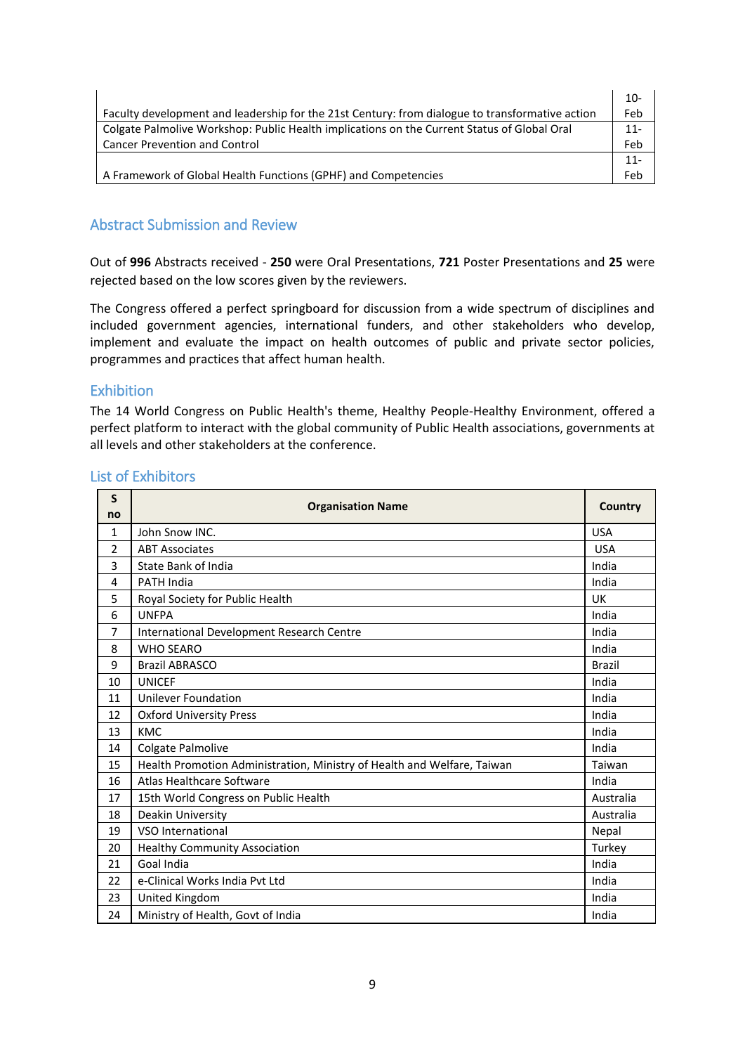|                                                                                                 | 10-    |
|-------------------------------------------------------------------------------------------------|--------|
| Faculty development and leadership for the 21st Century: from dialogue to transformative action | Feb    |
| Colgate Palmolive Workshop: Public Health implications on the Current Status of Global Oral     | $11 -$ |
| <b>Cancer Prevention and Control</b>                                                            | Feb    |
|                                                                                                 | 11-    |
| A Framework of Global Health Functions (GPHF) and Competencies                                  | Feh    |

## Abstract Submission and Review

Out of **996** Abstracts received - **250** were Oral Presentations, **721** Poster Presentations and **25** were rejected based on the low scores given by the reviewers.

The Congress offered a perfect springboard for discussion from a wide spectrum of disciplines and included government agencies, international funders, and other stakeholders who develop, implement and evaluate the impact on health outcomes of public and private sector policies, programmes and practices that affect human health.

#### Exhibition

The 14 World Congress on Public Health's theme, Healthy People-Healthy Environment, offered a perfect platform to interact with the global community of Public Health associations, governments at all levels and other stakeholders at the conference.

| S<br>no      | <b>Organisation Name</b>                                                |               |  |  |  |  |
|--------------|-------------------------------------------------------------------------|---------------|--|--|--|--|
| $\mathbf{1}$ | John Snow INC.                                                          | <b>USA</b>    |  |  |  |  |
| 2            | <b>ABT Associates</b>                                                   | <b>USA</b>    |  |  |  |  |
| 3            | State Bank of India                                                     | India         |  |  |  |  |
| 4            | <b>PATH India</b>                                                       | India         |  |  |  |  |
| 5            | Royal Society for Public Health                                         | UK            |  |  |  |  |
| 6            | <b>UNFPA</b>                                                            | India         |  |  |  |  |
| 7            | International Development Research Centre                               | India         |  |  |  |  |
| 8            | <b>WHO SEARO</b>                                                        | India         |  |  |  |  |
| 9            | <b>Brazil ABRASCO</b>                                                   | <b>Brazil</b> |  |  |  |  |
| 10           | <b>UNICEF</b>                                                           | India         |  |  |  |  |
| 11           | <b>Unilever Foundation</b>                                              | India         |  |  |  |  |
| 12           | <b>Oxford University Press</b>                                          | India         |  |  |  |  |
| 13           | <b>KMC</b>                                                              | India         |  |  |  |  |
| 14           | Colgate Palmolive                                                       | India         |  |  |  |  |
| 15           | Health Promotion Administration, Ministry of Health and Welfare, Taiwan | Taiwan        |  |  |  |  |
| 16           | Atlas Healthcare Software                                               | India         |  |  |  |  |
| 17           | 15th World Congress on Public Health                                    | Australia     |  |  |  |  |
| 18           | Deakin University                                                       | Australia     |  |  |  |  |
| 19           | VSO International                                                       | Nepal         |  |  |  |  |
| 20           | <b>Healthy Community Association</b>                                    | Turkey        |  |  |  |  |
| 21           | Goal India                                                              | India         |  |  |  |  |
| 22           | e-Clinical Works India Pvt Ltd                                          | India         |  |  |  |  |
| 23           | United Kingdom                                                          | India         |  |  |  |  |
| 24           | Ministry of Health, Govt of India                                       | India         |  |  |  |  |

## List of Exhibitors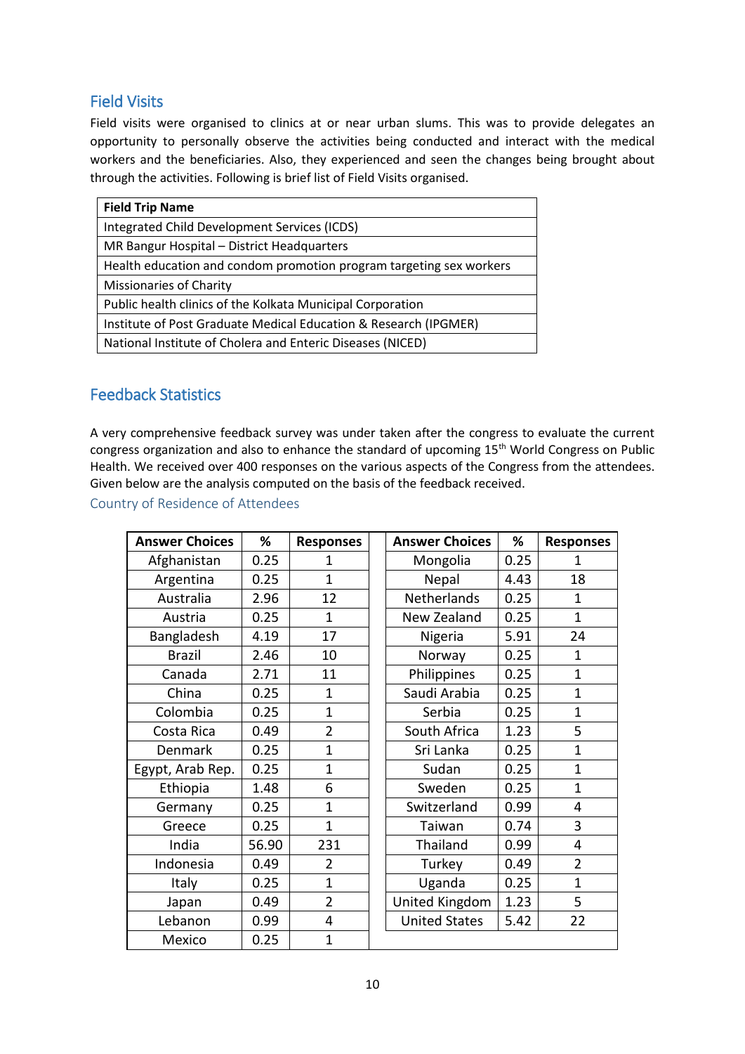# Field Visits

Field visits were organised to clinics at or near urban slums. This was to provide delegates an opportunity to personally observe the activities being conducted and interact with the medical workers and the beneficiaries. Also, they experienced and seen the changes being brought about through the activities. Following is brief list of Field Visits organised.

| <b>Field Trip Name</b>                                              |
|---------------------------------------------------------------------|
| Integrated Child Development Services (ICDS)                        |
| MR Bangur Hospital - District Headquarters                          |
| Health education and condom promotion program targeting sex workers |
| <b>Missionaries of Charity</b>                                      |
| Public health clinics of the Kolkata Municipal Corporation          |
| Institute of Post Graduate Medical Education & Research (IPGMER)    |
| National Institute of Cholera and Enteric Diseases (NICED)          |

# Feedback Statistics

A very comprehensive feedback survey was under taken after the congress to evaluate the current congress organization and also to enhance the standard of upcoming 15<sup>th</sup> World Congress on Public Health. We received over 400 responses on the various aspects of the Congress from the attendees. Given below are the analysis computed on the basis of the feedback received.

Country of Residence of Attendees

| <b>Answer Choices</b> | %     | <b>Responses</b> | <b>Answer Choices</b> | %    | <b>Responses</b> |
|-----------------------|-------|------------------|-----------------------|------|------------------|
| Afghanistan           | 0.25  | 1                | Mongolia              | 0.25 | 1                |
| Argentina             | 0.25  | $\overline{1}$   | Nepal                 | 4.43 | 18               |
| Australia             | 2.96  | 12               | Netherlands           | 0.25 | 1                |
| Austria               | 0.25  | $\overline{1}$   | New Zealand           | 0.25 | $\mathbf{1}$     |
| Bangladesh            | 4.19  | 17               | Nigeria               | 5.91 | 24               |
| <b>Brazil</b>         | 2.46  | 10               | Norway                | 0.25 | $\mathbf{1}$     |
| Canada                | 2.71  | 11               | Philippines           | 0.25 | $\mathbf{1}$     |
| China                 | 0.25  | $\mathbf{1}$     | Saudi Arabia          | 0.25 | $\mathbf{1}$     |
| Colombia              | 0.25  | $\mathbf{1}$     | Serbia                | 0.25 | $\mathbf{1}$     |
| Costa Rica            | 0.49  | $\overline{2}$   | South Africa          | 1.23 | 5                |
| Denmark               | 0.25  | $\overline{1}$   | Sri Lanka             | 0.25 | $\mathbf{1}$     |
| Egypt, Arab Rep.      | 0.25  | $\overline{1}$   | Sudan                 | 0.25 | $\mathbf{1}$     |
| Ethiopia              | 1.48  | 6                | Sweden                | 0.25 | $\mathbf{1}$     |
| Germany               | 0.25  | 1                | Switzerland           | 0.99 | 4                |
| Greece                | 0.25  | $\overline{1}$   | Taiwan                | 0.74 | 3                |
| India                 | 56.90 | 231              | Thailand              | 0.99 | 4                |
| Indonesia             | 0.49  | $\overline{2}$   | Turkey                | 0.49 | $\overline{2}$   |
| Italy                 | 0.25  | $\overline{1}$   | Uganda                | 0.25 | $\mathbf{1}$     |
| Japan                 | 0.49  | $\overline{2}$   | United Kingdom        | 1.23 | 5                |
| Lebanon               | 0.99  | 4                | <b>United States</b>  | 5.42 | 22               |
| Mexico                | 0.25  | $\overline{1}$   |                       |      |                  |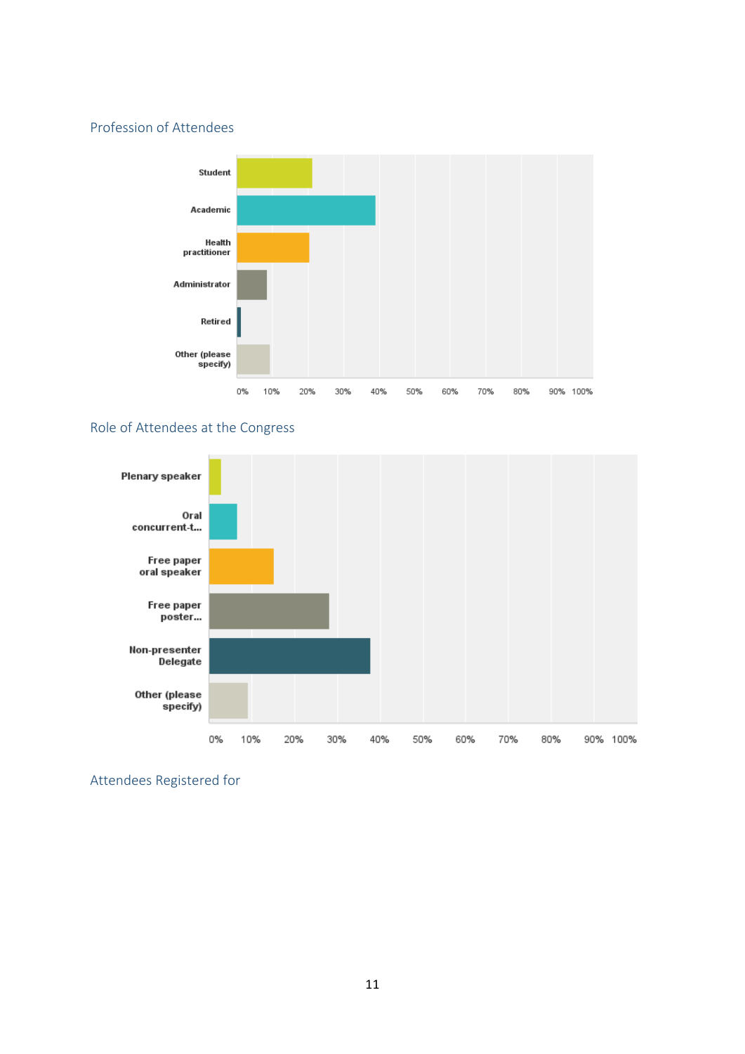## Profession of Attendees



## Role of Attendees at the Congress



Attendees Registered for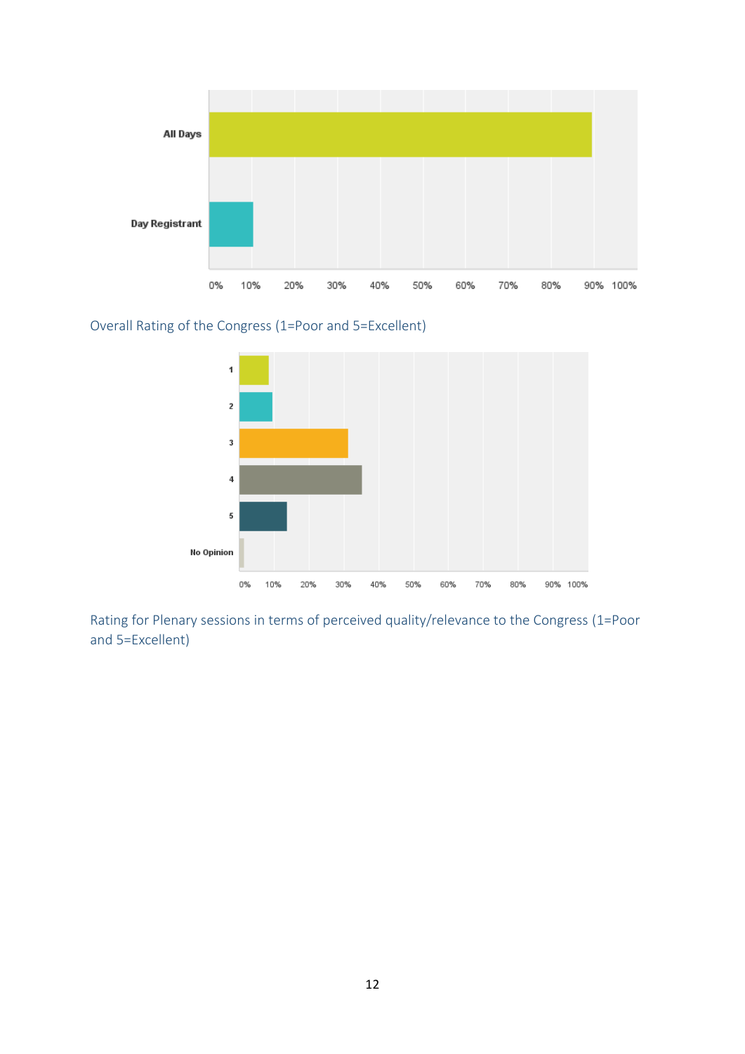

Overall Rating of the Congress (1=Poor and 5=Excellent)



Rating for Plenary sessions in terms of perceived quality/relevance to the Congress (1=Poor and 5=Excellent)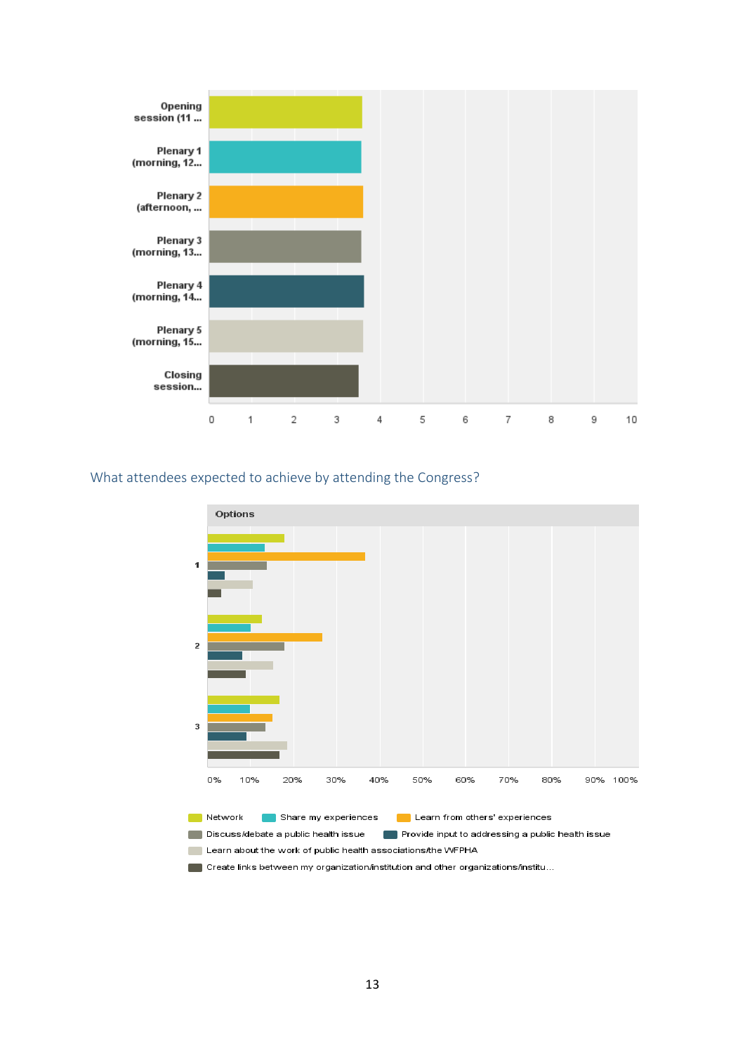

## What attendees expected to achieve by attending the Congress?



Discuss/debate a public health issue Provide input to addressing a public health issue

Learn about the work of public health associations the WFPHA

Create links between my organization/institution and other organizations/institu...